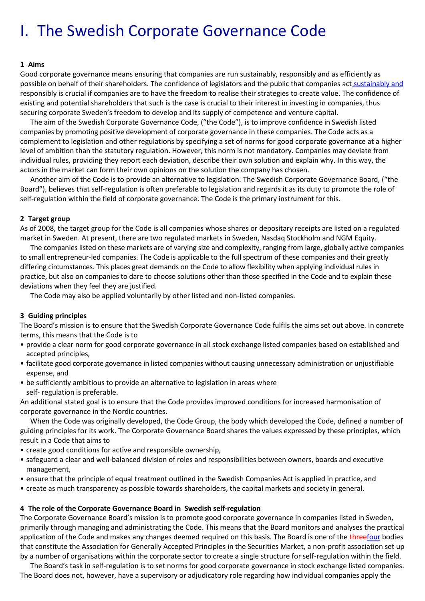# I. The Swedish Corporate Governance Code

#### **1 Aims**

Good corporate governance means ensuring that companies are run sustainably, responsibly and as efficiently as possible on behalf of their shareholders. The confidence of legislators and the public that companies act sustainably and responsibly is crucial if companies are to have the freedom to realise their strategies to create value. The confidence of existing and potential shareholders that such is the case is crucial to their interest in investing in companies, thus securing corporate Sweden's freedom to develop and its supply of competence and venture capital.

The aim of the Swedish Corporate Governance Code, ("the Code"), is to improve confidence in Swedish listed companies by promoting positive development of corporate governance in these companies. The Code acts as a complement to legislation and other regulations by specifying a set of norms for good corporate governance at a higher level of ambition than the statutory regulation. However, this norm is not mandatory. Companies may deviate from individual rules, providing they report each deviation, describe their own solution and explain why. In this way, the actors in the market can form their own opinions on the solution the company has chosen.

Another aim of the Code is to provide an alternative to legislation. The Swedish Corporate Governance Board, ("the Board"), believes that self-regulation is often preferable to legislation and regards it as its duty to promote the role of self-regulation within the field of corporate governance. The Code is the primary instrument for this.

#### **2 Target group**

As of 2008, the target group for the Code is all companies whose shares or depositary receipts are listed on a regulated market in Sweden. At present, there are two regulated markets in Sweden, Nasdaq Stockholm and NGM Equity.

The companies listed on these markets are of varying size and complexity, ranging from large, globally active companies to small entrepreneur-led companies. The Code is applicable to the full spectrum of these companies and their greatly differing circumstances. This places great demands on the Code to allow flexibility when applying individual rules in practice, but also on companies to dare to choose solutions other than those specified in the Code and to explain these deviations when they feel they are justified.

The Code may also be applied voluntarily by other listed and non-listed companies.

#### **3 Guiding principles**

The Board's mission is to ensure that the Swedish Corporate Governance Code fulfils the aims set out above. In concrete terms, this means that the Code is to

- provide a clear norm for good corporate governance in all stock exchange listed companies based on established and accepted principles,
- facilitate good corporate governance in listed companies without causing unnecessary administration or unjustifiable expense, and
- be sufficiently ambitious to provide an alternative to legislation in areas where self- regulation is preferable.

An additional stated goal is to ensure that the Code provides improved conditions for increased harmonisation of corporate governance in the Nordic countries.

When the Code was originally developed, the Code Group, the body which developed the Code, defined a number of guiding principles for its work. The Corporate Governance Board shares the values expressed by these principles, which result in a Code that aims to

- create good conditions for active and responsible ownership,
- safeguard a clear and well-balanced division of roles and responsibilities between owners, boards and executive management,
- ensure that the principle of equal treatment outlined in the Swedish Companies Act is applied in practice, and
- create as much transparency as possible towards shareholders, the capital markets and society in general.

#### **4 The role of the Corporate Governance Board in Swedish self-regulation**

The Corporate Governance Board's mission is to promote good corporate governance in companies listed in Sweden, primarily through managing and administrating the Code. This means that the Board monitors and analyses the practical application of the Code and makes any changes deemed required on this basis. The Board is one of the threefour bodies that constitute the Association for Generally Accepted Principles in the Securities Market, a non-profit association set up by a number of organisations within the corporate sector to create a single structure for self-regulation within the field.

The Board's task in self-regulation is to set norms for good corporate governance in stock exchange listed companies. The Board does not, however, have a supervisory or adjudicatory role regarding how individual companies apply the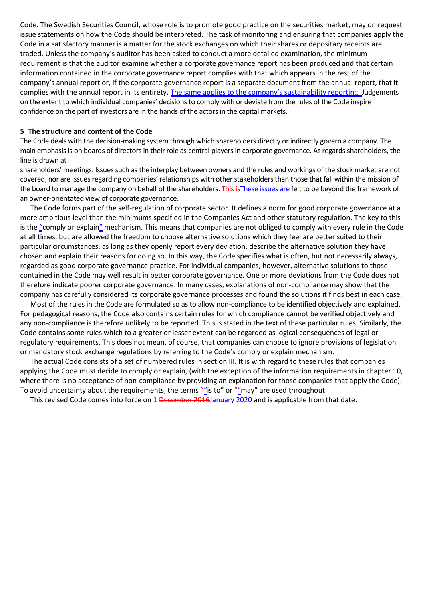Code. The Swedish Securities Council, whose role is to promote good practice on the securities market, may on request issue statements on how the Code should be interpreted. The task of monitoring and ensuring that companies apply the Code in a satisfactory manner is a matter for the stock exchanges on which their shares or depositary receipts are traded. Unless the company's auditor has been asked to conduct a more detailed examination, the minimum requirement is that the auditor examine whether a corporate governance report has been produced and that certain information contained in the corporate governance report complies with that which appears in the rest of the company's annual report or, if the corporate governance report is a separate document from the annual report, that it complies with the annual report in its entirety. The same applies to the company's sustainability reporting. Judgements on the extent to which individual companies' decisions to comply with or deviate from the rules of the Code inspire confidence on the part of investors are in the hands of the actors in the capital markets.

#### **5 The structure and content of the Code**

The Code deals with the decision-making system through which shareholders directly or indirectly govern a company. The main emphasis is on boards of directors in their role as central players in corporate governance. As regards shareholders, the line is drawn at

shareholders' meetings. Issues such as the interplay between owners and the rules and workings of the stock market are not covered, nor are issues regarding companies' relationships with other stakeholders than those that fall within the mission of the board to manage the company on behalf of the shareholders. This is These issues are felt to be beyond the framework of an owner-orientated view of corporate governance.

The Code forms part of the self-regulation of corporate sector. It defines a norm for good corporate governance at a more ambitious level than the minimums specified in the Companies Act and other statutory regulation. The key to this is the "comply or explain" mechanism. This means that companies are not obliged to comply with every rule in the Code at all times, but are allowed the freedom to choose alternative solutions which they feel are better suited to their particular circumstances, as long as they openly report every deviation, describe the alternative solution they have chosen and explain their reasons for doing so. In this way, the Code specifies what is often, but not necessarily always, regarded as good corporate governance practice. For individual companies, however, alternative solutions to those contained in the Code may well result in better corporate governance. One or more deviations from the Code does not therefore indicate poorer corporate governance. In many cases, explanations of non-compliance may show that the company has carefully considered its corporate governance processes and found the solutions it finds best in each case.

Most of the rules in the Code are formulated so as to allow non-compliance to be identified objectively and explained. For pedagogical reasons, the Code also contains certain rules for which compliance cannot be verified objectively and any non-compliance is therefore unlikely to be reported. This is stated in the text of these particular rules. Similarly, the Code contains some rules which to a greater or lesser extent can be regarded as logical consequences of legal or regulatory requirements. This does not mean, of course, that companies can choose to ignore provisions of legislation or mandatory stock exchange regulations by referring to the Code's comply or explain mechanism.

The actual Code consists of a set of numbered rules in section III. It is with regard to these rules that companies applying the Code must decide to comply or explain, (with the exception of the information requirements in chapter 10, where there is no acceptance of non-compliance by providing an explanation for those companies that apply the Code). To avoid uncertainty about the requirements, the terms  $\frac{m}{n}$  is to" or  $\frac{m}{n}$  are used throughout.

This revised Code comes into force on 1 December 2016 January 2020 and is applicable from that date.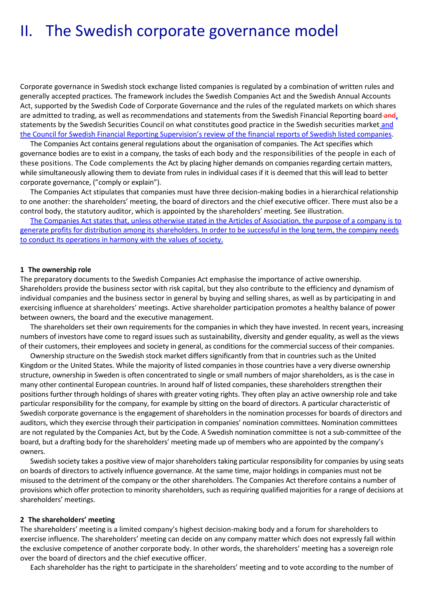# II. The Swedish corporate governance model

Corporate governance in Swedish stock exchange listed companies is regulated by a combination of written rules and generally accepted practices. The framework includes the Swedish Companies Act and the Swedish Annual Accounts Act, supported by the Swedish Code of Corporate Governance and the rules of the regulated markets on which shares are admitted to trading, as well as recommendations and statements from the Swedish Financial Reporting board-and, statements by the Swedish Securities Council on what constitutes good practice in the Swedish securities market and the Council for Swedish Financial Reporting Supervision's review of the financial reports of Swedish listed companies.

The Companies Act contains general regulations about the organisation of companies. The Act specifies which governance bodies are to exist in a company, the tasks of each body and the responsibilities of the people in each of these positions. The Code complements the Act by placing higher demands on companies regarding certain matters, while simultaneously allowing them to deviate from rules in individual cases if it is deemed that this will lead to better corporate governance, ("comply or explain").

The Companies Act stipulates that companies must have three decision-making bodies in a hierarchical relationship to one another: the shareholders' meeting, the board of directors and the chief executive officer. There must also be a control body, the statutory auditor, which is appointed by the shareholders' meeting. See illustration.

The Companies Act states that, unless otherwise stated in the Articles of Association, the purpose of a company is to generate profits for distribution among its shareholders. In order to be successful in the long term, the company needs to conduct its operations in harmony with the values of society.

#### **1 The ownership role**

The preparatory documents to the Swedish Companies Act emphasise the importance of active ownership. Shareholders provide the business sector with risk capital, but they also contribute to the efficiency and dynamism of individual companies and the business sector in general by buying and selling shares, as well as by participating in and exercising influence at shareholders' meetings. Active shareholder participation promotes a healthy balance of power between owners, the board and the executive management.

The shareholders set their own requirements for the companies in which they have invested. In recent years, increasing numbers of investors have come to regard issues such as sustainability, diversity and gender equality, as well as the views of their customers, their employees and society in general, as conditions for the commercial success of their companies.

Ownership structure on the Swedish stock market differs significantly from that in countries such as the United Kingdom or the United States. While the majority of listed companies in those countries have a very diverse ownership structure, ownership in Sweden is often concentrated to single or small numbers of major shareholders, as is the case in many other continental European countries. In around half of listed companies, these shareholders strengthen their positions further through holdings of shares with greater voting rights. They often play an active ownership role and take particular responsibility for the company, for example by sitting on the board of directors. A particular characteristic of Swedish corporate governance is the engagement of shareholders in the nomination processes for boards of directors and auditors, which they exercise through their participation in companies' nomination committees. Nomination committees are not regulated by the Companies Act, but by the Code. A Swedish nomination committee is not a sub-committee of the board, but a drafting body for the shareholders' meeting made up of members who are appointed by the company's owners.

Swedish society takes a positive view of major shareholders taking particular responsibility for companies by using seats on boards of directors to actively influence governance. At the same time, major holdings in companies must not be misused to the detriment of the company or the other shareholders. The Companies Act therefore contains a number of provisions which offer protection to minority shareholders, such as requiring qualified majorities for a range of decisions at shareholders' meetings.

#### **2 The shareholders' meeting**

The shareholders' meeting is a limited company's highest decision-making body and a forum for shareholders to exercise influence. The shareholders' meeting can decide on any company matter which does not expressly fall within the exclusive competence of another corporate body. In other words, the shareholders' meeting has a sovereign role over the board of directors and the chief executive officer.

Each shareholder has the right to participate in the shareholders' meeting and to vote according to the number of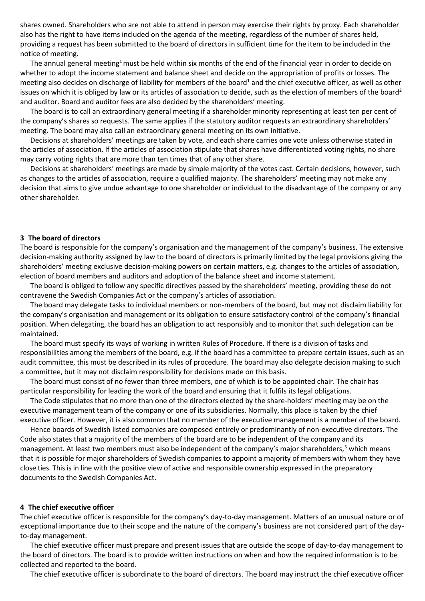shares owned. Shareholders who are not able to attend in person may exercise their rights by proxy. Each shareholder also has the right to have items included on the agenda of the meeting, regardless of the number of shares held, providing a request has been submitted to the board of directors in sufficient time for the item to be included in the notice of meeting.

The annual general meeting<sup>1</sup> must be held within six months of the end of the financial year in order to decide on whether to adopt the income statement and balance sheet and decide on the appropriation of profits or losses. The meeting also decides on discharge of liability for members of the board<sup>1</sup> and the chief executive officer, as well as other issues on which it is obliged by law or its articles of association to decide, such as the election of members of the board<sup>2</sup> and auditor. Board and auditor fees are also decided by the shareholders' meeting.

The board is to call an extraordinary general meeting if a shareholder minority representing at least ten per cent of the company's shares so requests. The same applies if the statutory auditor requests an extraordinary shareholders' meeting. The board may also call an extraordinary general meeting on its own initiative.

Decisions at shareholders' meetings are taken by vote, and each share carries one vote unless otherwise stated in the articles of association. If the articles of association stipulate that shares have differentiated voting rights, no share may carry voting rights that are more than ten times that of any other share.

Decisions at shareholders' meetings are made by simple majority of the votes cast. Certain decisions, however, such as changes to the articles of association, require a qualified majority. The shareholders' meeting may not make any decision that aims to give undue advantage to one shareholder or individual to the disadvantage of the company or any other shareholder.

#### **3 The board of directors**

The board is responsible for the company's organisation and the management of the company's business. The extensive decision-making authority assigned by law to the board of directors is primarily limited by the legal provisions giving the shareholders' meeting exclusive decision-making powers on certain matters, e.g. changes to the articles of association, election of board members and auditors and adoption of the balance sheet and income statement.

The board is obliged to follow any specific directives passed by the shareholders' meeting, providing these do not contravene the Swedish Companies Act or the company's articles of association.

The board may delegate tasks to individual members or non-members of the board, but may not disclaim liability for the company's organisation and management or its obligation to ensure satisfactory control of the company's financial position. When delegating, the board has an obligation to act responsibly and to monitor that such delegation can be maintained.

The board must specify its ways of working in written Rules of Procedure. If there is a division of tasks and responsibilities among the members of the board, e.g. if the board has a committee to prepare certain issues, such as an audit committee, this must be described in its rules of procedure. The board may also delegate decision making to such a committee, but it may not disclaim responsibility for decisions made on this basis.

The board must consist of no fewer than three members, one of which is to be appointed chair. The chair has particular responsibility for leading the work of the board and ensuring that it fulfils its legal obligations.

The Code stipulates that no more than one of the directors elected by the share-holders' meeting may be on the executive management team of the company or one of its subsidiaries. Normally, this place is taken by the chief executive officer. However, it is also common that no member of the executive management is a member of the board.

Hence boards of Swedish listed companies are composed entirely or predominantly of non-executive directors. The Code also states that a majority of the members of the board are to be independent of the company and its management. At least two members must also be independent of the company's major shareholders,<sup>3</sup> which means that it is possible for major shareholders of Swedish companies to appoint a majority of members with whom they have close ties. This is in line with the positive view of active and responsible ownership expressed in the preparatory documents to the Swedish Companies Act.

#### **4 The chief executive officer**

The chief executive officer is responsible for the company's day-to-day management. Matters of an unusual nature or of exceptional importance due to their scope and the nature of the company's business are not considered part of the dayto-day management.

The chief executive officer must prepare and present issues that are outside the scope of day-to-day management to the board of directors. The board is to provide written instructions on when and how the required information is to be collected and reported to the board.

The chief executive officer is subordinate to the board of directors. The board may instruct the chief executive officer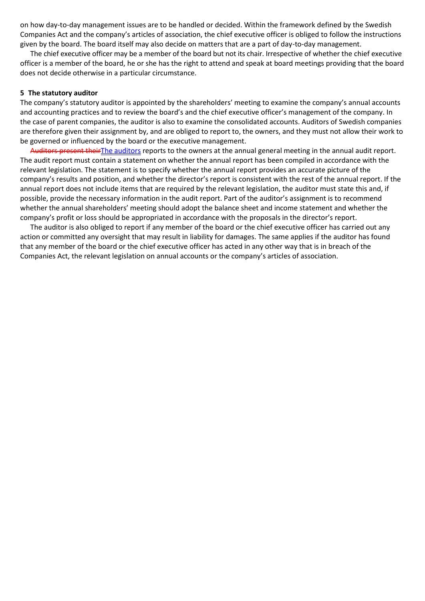on how day-to-day management issues are to be handled or decided. Within the framework defined by the Swedish Companies Act and the company's articles of association, the chief executive officer is obliged to follow the instructions given by the board. The board itself may also decide on matters that are a part of day-to-day management.

The chief executive officer may be a member of the board but not its chair. Irrespective of whether the chief executive officer is a member of the board, he or she has the right to attend and speak at board meetings providing that the board does not decide otherwise in a particular circumstance.

#### **5 The statutory auditor**

The company's statutory auditor is appointed by the shareholders' meeting to examine the company's annual accounts and accounting practices and to review the board's and the chief executive officer's management of the company. In the case of parent companies, the auditor is also to examine the consolidated accounts. Auditors of Swedish companies are therefore given their assignment by, and are obliged to report to, the owners, and they must not allow their work to be governed or influenced by the board or the executive management.

Auditors present their The auditors reports to the owners at the annual general meeting in the annual audit report. The audit report must contain a statement on whether the annual report has been compiled in accordance with the relevant legislation. The statement is to specify whether the annual report provides an accurate picture of the company's results and position, and whether the director's report is consistent with the rest of the annual report. If the annual report does not include items that are required by the relevant legislation, the auditor must state this and, if possible, provide the necessary information in the audit report. Part of the auditor's assignment is to recommend whether the annual shareholders' meeting should adopt the balance sheet and income statement and whether the company's profit or loss should be appropriated in accordance with the proposals in the director's report.

The auditor is also obliged to report if any member of the board or the chief executive officer has carried out any action or committed any oversight that may result in liability for damages. The same applies if the auditor has found that any member of the board or the chief executive officer has acted in any other way that is in breach of the Companies Act, the relevant legislation on annual accounts or the company's articles of association.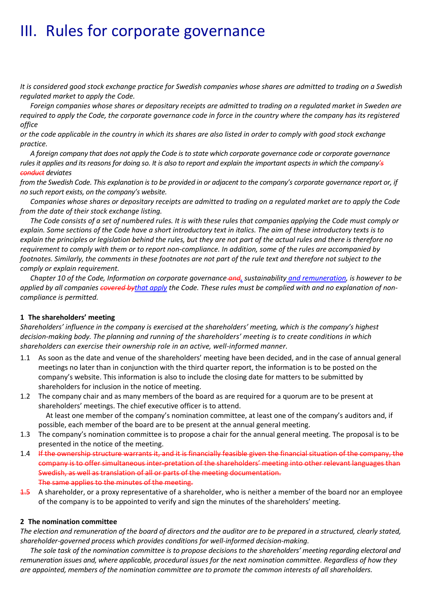# III. Rules for corporate governance

*It is considered good stock exchange practice for Swedish companies whose shares are admitted to trading on a Swedish regulated market to apply the Code.*

*Foreign companies whose shares or depositary receipts are admitted to trading on a regulated market in Sweden are required to apply the Code, the corporate governance code in force in the country where the company has its registered office* 

*or the code applicable in the country in which its shares are also listed in order to comply with good stock exchange practice.* 

*A foreign company that does not apply the Code is to state which corporate governance code or corporate governance rules it applies and its reasons for doing so. It is also to report and explain the important aspects in which the company's conduct deviates* 

*from the Swedish Code. This explanation is to be provided in or adjacent to the company's corporate governance report or, if no such report exists, on the company's website.*

*Companies whose shares or depositary receipts are admitted to trading on a regulated market are to apply the Code from the date of their stock exchange listing.* 

*The Code consists of a set of numbered rules. It is with these rules that companies applying the Code must comply or explain. Some sections of the Code have a short introductory text in italics. The aim of these introductory texts is to explain the principles or legislation behind the rules, but they are not part of the actual rules and there is therefore no requirement to comply with them or to report non-compliance. In addition, some of the rules are accompanied by*  footnotes. Similarly, the comments in these footnotes are not part of the rule text and therefore not subject to the *comply or explain requirement.*

*Chapter 10 of the Code, Information on corporate governance and, sustainability and remuneration, is however to be applied by all companies covered bythat apply the Code. These rules must be complied with and no explanation of noncompliance is permitted.* 

#### **1 The shareholders' meeting**

*Shareholders' influence in the company is exercised at the shareholders' meeting, which is the company's highest decision-making body. The planning and running of the shareholders' meeting is to create conditions in which shareholders can exercise their ownership role in an active, well-informed manner.* 

- 1.1 As soon as the date and venue of the shareholders' meeting have been decided, and in the case of annual general meetings no later than in conjunction with the third quarter report, the information is to be posted on the company's website. This information is also to include the closing date for matters to be submitted by shareholders for inclusion in the notice of meeting.
- 1.2 The company chair and as many members of the board as are required for a quorum are to be present at shareholders' meetings. The chief executive officer is to attend. At least one member of the company's nomination committee, at least one of the company's auditors and, if
- possible, each member of the board are to be present at the annual general meeting. 1.3 The company's nomination committee is to propose a chair for the annual general meeting. The proposal is to be
- presented in the notice of the meeting.
- 1.4 If the ownership structure warrants it, and it is financially feasible given the financial situation of the company, the company is to offer simultaneous inter-pretation of the shareholders' meeting into other relevant languages than Swedish, as well as translation of all or parts of the meeting documentation. The same applies to the minutes of the meeting.
- 1.5 A shareholder, or a proxy representative of a shareholder, who is neither a member of the board nor an employee of the company is to be appointed to verify and sign the minutes of the shareholders' meeting.

#### **2 The nomination committee**

*The election and remuneration of the board of directors and the auditor are to be prepared in a structured, clearly stated, shareholder-governed process which provides conditions for well-informed decision-making.*

*The sole task of the nomination committee is to propose decisions to the shareholders' meeting regarding electoral and remuneration issues and, where applicable, procedural issues for the next nomination committee. Regardless of how they are appointed, members of the nomination committee are to promote the common interests of all shareholders.*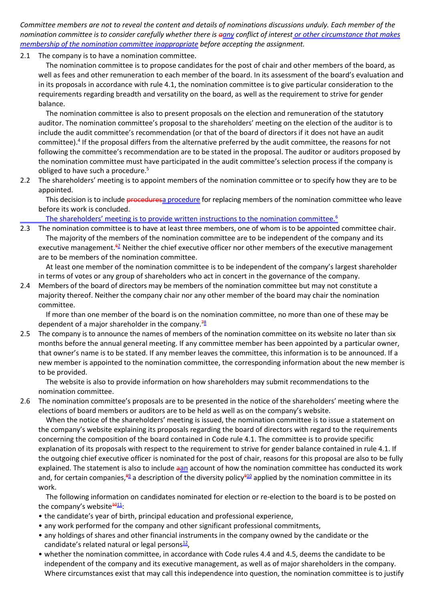*Committee members are not to reveal the content and details of nominations discussions unduly. Each member of the nomination committee is to consider carefully whether there is aany conflict of interest or other circumstance that makes membership of the nomination committee inappropriate before accepting the assignment.* 

2.1 The company is to have a nomination committee.

The nomination committee is to propose candidates for the post of chair and other members of the board, as well as fees and other remuneration to each member of the board. In its assessment of the board's evaluation and in its proposals in accordance with rule 4.1, the nomination committee is to give particular consideration to the requirements regarding breadth and versatility on the board, as well as the requirement to strive for gender balance.

The nomination committee is also to present proposals on the election and remuneration of the statutory auditor. The nomination committee's proposal to the shareholders' meeting on the election of the auditor is to include the audit committee's recommendation (or that of the board of directors if it does not have an audit committee).<sup>4</sup> If the proposal differs from the alternative preferred by the audit committee, the reasons for not following the committee's recommendation are to be stated in the proposal. The auditor or auditors proposed by the nomination committee must have participated in the audit committee's selection process if the company is obliged to have such a procedure.<sup>5</sup>

2.2 The shareholders' meeting is to appoint members of the nomination committee or to specify how they are to be appointed.

This decision is to include **procedures**a procedure for replacing members of the nomination committee who leave before its work is concluded.

The shareholders' meeting is to provide written instructions to the nomination committee.<sup>6</sup>

2.3 The nomination committee is to have at least three members, one of whom is to be appointed committee chair. The majority of the members of the nomination committee are to be independent of the company and its executive management. $\frac{67}{2}$  Neither the chief executive officer nor other members of the executive management are to be members of the nomination committee.

At least one member of the nomination committee is to be independent of the company's largest shareholder in terms of votes or any group of shareholders who act in concert in the governance of the company.

2.4 Members of the board of directors may be members of the nomination committee but may not constitute a majority thereof. Neither the company chair nor any other member of the board may chair the nomination committee.

If more than one member of the board is on the nomination committee, no more than one of these may be dependent of a major shareholder in the company.  $\frac{78}{6}$ 

2.5 The company is to announce the names of members of the nomination committee on its website no later than six months before the annual general meeting. If any committee member has been appointed by a particular owner, that owner's name is to be stated. If any member leaves the committee, this information is to be announced. If a new member is appointed to the nomination committee, the corresponding information about the new member is to be provided.

The website is also to provide information on how shareholders may submit recommendations to the nomination committee.

2.6 The nomination committee's proposals are to be presented in the notice of the shareholders' meeting where the elections of board members or auditors are to be held as well as on the company's website.

When the notice of the shareholders' meeting is issued, the nomination committee is to issue a statement on the company's website explaining its proposals regarding the board of directors with regard to the requirements concerning the composition of the board contained in Code rule 4.1. The committee is to provide specific explanation of its proposals with respect to the requirement to strive for gender balance contained in rule 4.1. If the outgoing chief executive officer is nominated for the post of chair, reasons for this proposal are also to be fully explained. The statement is also to include aan account of how the nomination committee has conducted its work and, for certain companies, $\frac{89}{2}$  a description of the diversity policy $\frac{910}{2}$  applied by the nomination committee in its work.

The following information on candidates nominated for election or re-election to the board is to be posted on the company's website  $\frac{4011}{1}$ .

- the candidate's year of birth, principal education and professional experience,
- any work performed for the company and other significant professional commitments,
- any holdings of shares and other financial instruments in the company owned by the candidate or the candidate's related natural or legal persons<sup>12</sup>,
- whether the nomination committee, in accordance with Code rules 4.4 and 4.5, deems the candidate to be independent of the company and its executive management, as well as of major shareholders in the company. Where circumstances exist that may call this independence into question, the nomination committee is to justify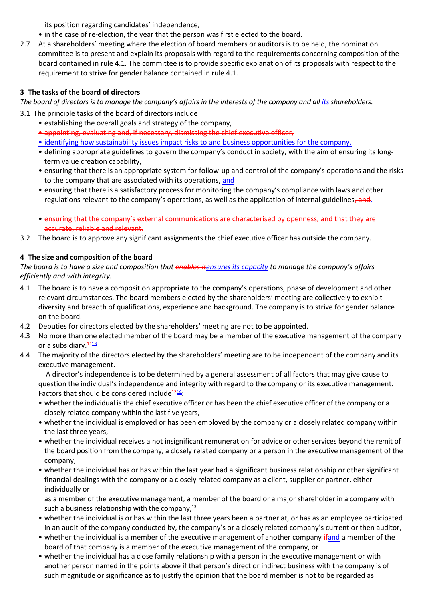its position regarding candidates' independence,

- in the case of re-election, the year that the person was first elected to the board.
- 2.7 At a shareholders' meeting where the election of board members or auditors is to be held, the nomination committee is to present and explain its proposals with regard to the requirements concerning composition of the board contained in rule 4.1. The committee is to provide specific explanation of its proposals with respect to the requirement to strive for gender balance contained in rule 4.1.

## **3 The tasks of the board of directors**

*The board of directors is to manage the company's affairs in the interests of the company and all its shareholders.*

- 3.1 The principle tasks of the board of directors include
	- establishing the overall goals and strategy of the company,
	- appointing, evaluating and, if necessary, dismissing the chief executive officer,
	- identifying how sustainability issues impact risks to and business opportunities for the company,
	- defining appropriate guidelines to govern the company's conduct in society, with the aim of ensuring its longterm value creation capability,
	- ensuring that there is an appropriate system for follow-up and control of the company's operations and the risks to the company that are associated with its operations, and
	- ensuring that there is a satisfactory process for monitoring the company's compliance with laws and other regulations relevant to the company's operations, as well as the application of internal guidelines, and.
	- ensuring that the company's external communications are characterised by openness, and that they are accurate, reliable and relevant.
- 3.2 The board is to approve any significant assignments the chief executive officer has outside the company.

## **4 The size and composition of the board**

*The board is to have a size and composition that enables itensures its capacity to manage the company's affairs efficiently and with integrity.* 

- 4.1 The board is to have a composition appropriate to the company's operations, phase of development and other relevant circumstances. The board members elected by the shareholders' meeting are collectively to exhibit diversity and breadth of qualifications, experience and background. The company is to strive for gender balance on the board.
- 4.2 Deputies for directors elected by the shareholders' meeting are not to be appointed.
- 4.3 No more than one elected member of the board may be a member of the executive management of the company or a subsidiary. $\frac{4413}{12}$
- 4.4 The majority of the directors elected by the shareholders' meeting are to be independent of the company and its executive management.

A director's independence is to be determined by a general assessment of all factors that may give cause to question the individual's independence and integrity with regard to the company or its executive management. Factors that should be considered include<sup> $\frac{1214}{1}$ </sup>:

- whether the individual is the chief executive officer or has been the chief executive officer of the company or a closely related company within the last five years,
- whether the individual is employed or has been employed by the company or a closely related company within the last three years,
- whether the individual receives a not insignificant remuneration for advice or other services beyond the remit of the board position from the company, a closely related company or a person in the executive management of the company,
- whether the individual has or has within the last year had a significant business relationship or other significant financial dealings with the company or a closely related company as a client, supplier or partner, either individually or

as a member of the executive management, a member of the board or a major shareholder in a company with such a business relationship with the company, $^{13}$ 

- whether the individual is or has within the last three years been a partner at, or has as an employee participated in an audit of the company conducted by, the company's or a closely related company's current or then auditor,
- whether the individual is a member of the executive management of another company ifand a member of the board of that company is a member of the executive management of the company, or
- whether the individual has a close family relationship with a person in the executive management or with another person named in the points above if that person's direct or indirect business with the company is of such magnitude or significance as to justify the opinion that the board member is not to be regarded as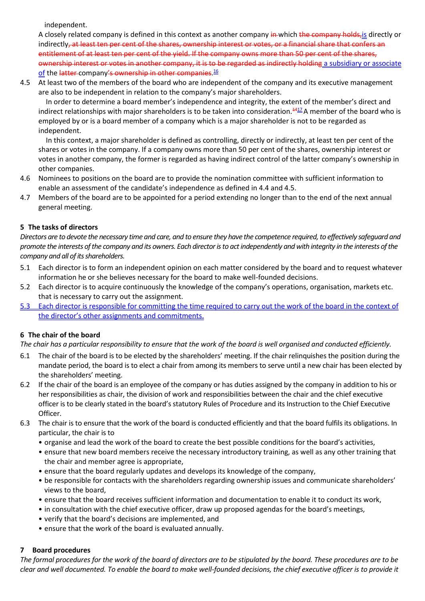independent.

A closely related company is defined in this context as another company in which the company holds, is directly or indirectly<del>, at least ten per cent of the shares, ownership interest or votes, or a financial share that confers an</del> entitlement of at least ten per cent of the yield. If the company owns more than 50 per cent of the shares, ownership interest or votes in another company, it is to be regarded as indirectly holding a subsidiary or associate <u>of</u> the <del>latter</del> company<del>'s ownership in other companies.<sup>16</sup></del>

4.5 At least two of the members of the board who are independent of the company and its executive management are also to be independent in relation to the company's major shareholders.

In order to determine a board member's independence and integrity, the extent of the member's direct and indirect relationships with major shareholders is to be taken into consideration.<sup>4417</sup>A member of the board who is employed by or is a board member of a company which is a major shareholder is not to be regarded as independent.

In this context, a major shareholder is defined as controlling, directly or indirectly, at least ten per cent of the shares or votes in the company. If a company owns more than 50 per cent of the shares, ownership interest or votes in another company, the former is regarded as having indirect control of the latter company's ownership in other companies.

- 4.6 Nominees to positions on the board are to provide the nomination committee with sufficient information to enable an assessment of the candidate's independence as defined in 4.4 and 4.5.
- 4.7 Members of the board are to be appointed for a period extending no longer than to the end of the next annual general meeting.

# **5 The tasks of directors**

*Directors are to devote the necessary time and care, and to ensure they have the competence required, to effectively safeguard and promote the interests of the company and its owners. Each director is to act independently and with integrity in the interests of the company and all of its shareholders.* 

- 5.1 Each director is to form an independent opinion on each matter considered by the board and to request whatever information he or she believes necessary for the board to make well-founded decisions.
- 5.2 Each director is to acquire continuously the knowledge of the company's operations, organisation, markets etc. that is necessary to carry out the assignment.
- 5.3 Each director is responsible for committing the time required to carry out the work of the board in the context of the director's other assignments and commitments.

### **6 The chair of the board**

*The chair has a particular responsibility to ensure that the work of the board is well organised and conducted efficiently.*

- 6.1 The chair of the board is to be elected by the shareholders' meeting. If the chair relinquishes the position during the mandate period, the board is to elect a chair from among its members to serve until a new chair has been elected by the shareholders' meeting.
- 6.2 If the chair of the board is an employee of the company or has duties assigned by the company in addition to his or her responsibilities as chair, the division of work and responsibilities between the chair and the chief executive officer is to be clearly stated in the board's statutory Rules of Procedure and its Instruction to the Chief Executive Officer.
- 6.3 The chair is to ensure that the work of the board is conducted efficiently and that the board fulfils its obligations. In particular, the chair is to
	- organise and lead the work of the board to create the best possible conditions for the board's activities,
	- ensure that new board members receive the necessary introductory training, as well as any other training that the chair and member agree is appropriate,
	- ensure that the board regularly updates and develops its knowledge of the company,
	- be responsible for contacts with the shareholders regarding ownership issues and communicate shareholders' views to the board,
	- ensure that the board receives sufficient information and documentation to enable it to conduct its work,
	- in consultation with the chief executive officer, draw up proposed agendas for the board's meetings,
	- verify that the board's decisions are implemented, and
	- ensure that the work of the board is evaluated annually.

### **7 Board procedures**

*The formal procedures for the work of the board of directors are to be stipulated by the board. These procedures are to be clear and well documented. To enable the board to make well-founded decisions, the chief executive officer is to provide it*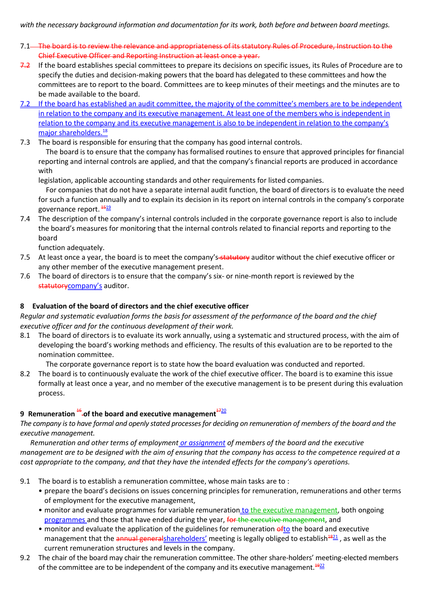- 7.1<sup>-</sup> The board is to review the relevance and appropriateness of its statutory Rules of Procedure, Instruction to the Chief Executive Officer and Reporting Instruction at least once a year.
- 7.2 If the board establishes special committees to prepare its decisions on specific issues, its Rules of Procedure are to specify the duties and decision-making powers that the board has delegated to these committees and how the committees are to report to the board. Committees are to keep minutes of their meetings and the minutes are to be made available to the board.
- 7.2 If the board has established an audit committee, the majority of the committee's members are to be independent in relation to the company and its executive management. At least one of the members who is independent in relation to the company and its executive management is also to be independent in relation to the company's major shareholders.<sup>18</sup>
- 7.3 The board is responsible for ensuring that the company has good internal controls.

The board is to ensure that the company has formalised routines to ensure that approved principles for financial reporting and internal controls are applied, and that the company's financial reports are produced in accordance with

legislation, applicable accounting standards and other requirements for listed companies.

For companies that do not have a separate internal audit function, the board of directors is to evaluate the need for such a function annually and to explain its decision in its report on internal controls in the company's corporate governance report.  $\frac{4519}{12}$ 

7.4 The description of the company's internal controls included in the corporate governance report is also to include the board's measures for monitoring that the internal controls related to financial reports and reporting to the board

function adequately.

- 7.5 At least once a year, the board is to meet the company's-statutory auditor without the chief executive officer or any other member of the executive management present.
- 7.6 The board of directors is to ensure that the company's six- or nine-month report is reviewed by the statutorycompany's auditor.

# **8 Evaluation of the board of directors and the chief executive officer**

*Regular and systematic evaluation forms the basis for assessment of the performance of the board and the chief executive officer and for the continuous development of their work.*

8.1 The board of directors is to evaluate its work annually, using a systematic and structured process, with the aim of developing the board's working methods and efficiency. The results of this evaluation are to be reported to the nomination committee.

The corporate governance report is to state how the board evaluation was conducted and reported.

8.2 The board is to continuously evaluate the work of the chief executive officer. The board is to examine this issue formally at least once a year, and no member of the executive management is to be present during this evaluation process.

# **9** Remuneration<sup>16</sup>-of the board and executive management<sup>1720</sup>

*The company is to have formal and openly stated processes for deciding on remuneration of members of the board and the executive management.*

*Remuneration and other terms of employment or assignment of members of the board and the executive management are to be designed with the aim of ensuring that the company has access to the competence required at a cost appropriate to the company, and that they have the intended effects for the company's operations.*

- 9.1 The board is to establish a remuneration committee, whose main tasks are to :
	- prepare the board's decisions on issues concerning principles for remuneration, remunerations and other terms of employment for the executive management,
	- monitor and evaluate programmes for variable remuneration to the executive management, both ongoing programmes and those that have ended during the year, for the executive management, and
	- monitor and evaluate the application of the guidelines for remuneration of to the board and executive management that the annual generalshareholders' meeting is legally obliged to establish<sup>4821</sup>, as well as the current remuneration structures and levels in the company.
- 9.2 The chair of the board may chair the remuneration committee. The other share-holders' meeting-elected members of the committee are to be independent of the company and its executive management. $1922$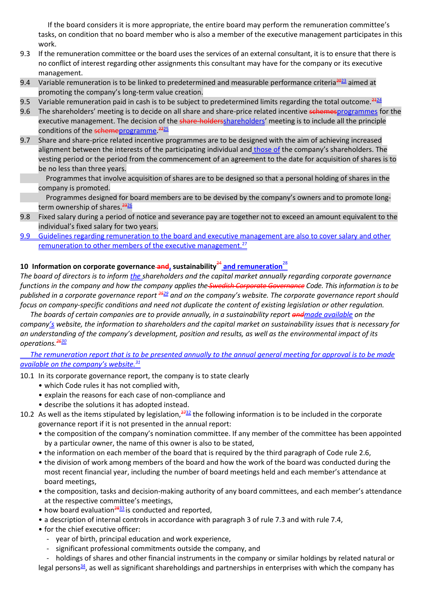If the board considers it is more appropriate, the entire board may perform the remuneration committee's tasks, on condition that no board member who is also a member of the executive management participates in this work.

- 9.3 If the remuneration committee or the board uses the services of an external consultant, it is to ensure that there is no conflict of interest regarding other assignments this consultant may have for the company or its executive management.
- 9.4 Variable remuneration is to be linked to predetermined and measurable performance criteria<sup>2023</sup> aimed at promoting the company's long-term value creation.
- 9.5 Variable remuneration paid in cash is to be subject to predetermined limits regarding the total outcome.  $2424$
- 9.6 The shareholders' meeting is to decide on all share and share-price related incentive schemesprogrammes for the executive management. The decision of the share-holdersshareholders' meeting is to include all the principle conditions of the schemeprogramme.<sup>2225</sup>
- 9.7 Share and share-price related incentive programmes are to be designed with the aim of achieving increased alignment between the interests of the participating individual and those of the company's shareholders. The vesting period or the period from the commencement of an agreement to the date for acquisition of shares is to be no less than three years.

Programmes that involve acquisition of shares are to be designed so that a personal holding of shares in the company is promoted.

Programmes designed for board members are to be devised by the company's owners and to promote longterm ownership of shares.<sup>2326</sup>

- 9.8 Fixed salary during a period of notice and severance pay are together not to exceed an amount equivalent to the individual's fixed salary for two years.
- 9.9 Guidelines regarding remuneration to the board and executive management are also to cover salary and other remuneration to other members of the executive management.<sup>27</sup>

# **10 Information on corporate governance and, sustainability**<sup>24</sup> **and remuneration**<sup>28</sup>

*The board of directors is to inform the shareholders and the capital market annually regarding corporate governance functions in the company and how the company applies the Swedish Corporate Governance Code. This information is to be published in a corporate governance report <sup>2529</sup> and on the company's website. The corporate governance report should focus on company-specific conditions and need not duplicate the content of existing legislation or other regulation.* 

*The boards of certain companies are to provide annually, in a sustainability report andmade available on the company's website, the information to shareholders and the capital market on sustainability issues that is necessary for an understanding of the company's development, position and results, as well as the environmental impact of its operations.<sup>2630</sup>*

*The remuneration report that is to be presented annually to the annual general meeting for approval is to be made available on the company's website.<sup>31</sup>*

- 10.1 In its corporate governance report, the company is to state clearly
	- which Code rules it has not complied with,
	- explain the reasons for each case of non-compliance and
	- describe the solutions it has adopted instead.
- 10.2 As well as the items stipulated by legislation, $\frac{2732}{27}$  the following information is to be included in the corporate governance report if it is not presented in the annual report:
	- the composition of the company's nomination committee. If any member of the committee has been appointed by a particular owner, the name of this owner is also to be stated,
	- the information on each member of the board that is required by the third paragraph of Code rule 2.6,
	- the division of work among members of the board and how the work of the board was conducted during the most recent financial year, including the number of board meetings held and each member's attendance at board meetings,
	- the composition, tasks and decision-making authority of any board committees, and each member's attendance at the respective committee's meetings,
	- how board evaluation $\frac{2833}{2}$  is conducted and reported,
	- a description of internal controls in accordance with paragraph 3 of rule 7.3 and with rule 7.4,
	- for the chief executive officer:
		- year of birth, principal education and work experience,
		- significant professional commitments outside the company, and
	- holdings of shares and other financial instruments in the company or similar holdings by related natural or

legal persons $\frac{34}{2}$ , as well as significant shareholdings and partnerships in enterprises with which the company has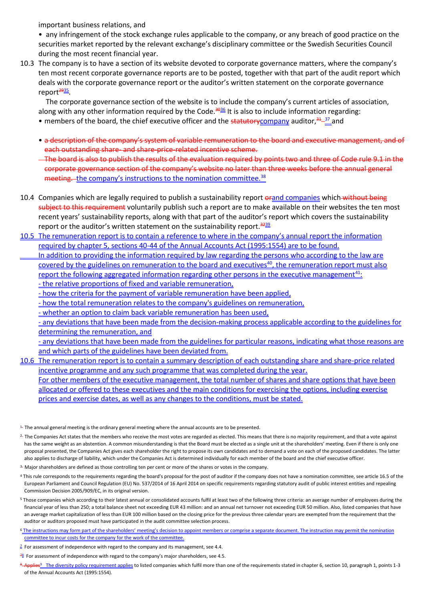important business relations, and

• any infringement of the stock exchange rules applicable to the company, or any breach of good practice on the securities market reported by the relevant exchange's disciplinary committee or the Swedish Securities Council during the most recent financial year.

10.3 The company is to have a section of its website devoted to corporate governance matters, where the company's ten most recent corporate governance reports are to be posted, together with that part of the audit report which deals with the corporate governance report or the auditor's written statement on the corporate governance report<sup><del>29</del>35</sup>.

The corporate governance section of the website is to include the company's current articles of association, along with any other information required by the Code.<sup>3036</sup> It is also to include information regarding: • members of the board, the chief executive officer and the statutorycompany auditor,<sup>31</sup>-11 and

- a description of the company's system of variable remuneration to the board and executive management, and of each outstanding share- and share-price-related incentive scheme.
- The board is also to publish the results of the evaluation required by points two and three of Code rule 9.1 in the corporate governance section of the company's website no later than three weeks before the annual general meeting. the company's instructions to the nomination committee.<sup>38</sup>
- 10.4 Companies which are legally required to publish a sustainability report orand companies which without being subject to this requirement voluntarily publish such a report are to make available on their websites the ten most recent years' sustainability reports, along with that part of the auditor's report which covers the sustainability report or the auditor's written statement on the sustainability report.  $\frac{3239}{2}$
- 10.5 The remuneration report is to contain a reference to where in the company's annual report the information required by chapter 5, sections 40-44 of the Annual Accounts Act (1995:1554) are to be found.
	- In addition to providing the information required by law regarding the persons who according to the law are covered by the guidelines on remuneration to the board and executives<sup>40</sup>, the remuneration report must also report the following aggregated information regarding other persons in the executive management<sup>41</sup>: - the relative proportions of fixed and variable remuneration,
		- how the criteria for the payment of variable remuneration have been applied,
		- how the total remuneration relates to the company's guidelines on remuneration,
		- whether an option to claim back variable remuneration has been used,

- any deviations that have been made from the decision-making process applicable according to the guidelines for determining the remuneration, and

- any deviations that have been made from the guidelines for particular reasons, indicating what those reasons are and which parts of the guidelines have been deviated from.

- 10.6 The remuneration report is to contain a summary description of each outstanding share and share-price related incentive programme and any such programme that was completed during the year. For other members of the executive management, the total number of shares and share options that have been allocated or offered to these executives and the main conditions for exercising the options, including exercise prices and exercise dates, as well as any changes to the conditions, must be stated.
- <sup>1.</sup> The annual general meeting is the ordinary general meeting where the annual accounts are to be presented.
- $2<sub>z</sub>$  The Companies Act states that the members who receive the most votes are regarded as elected. This means that there is no majority requirement, and that a vote against has the same weight as an abstention. A common misunderstanding is that the Board must be elected as a single unit at the shareholders' meeting. Even if there is only one proposal presented, the Companies Act gives each shareholder the right to propose its own candidates and to demand a vote on each of the proposed candidates. The latter also applies to discharge of liability, which under the Companies Act is determined individually for each member of the board and the chief executive officer.
- 3. Major shareholders are defined as those controlling ten per cent or more of the shares or votes in the company.
- <sup>4</sup> This rule corresponds to the requirements regarding the board's proposal for the post of auditor if the company does not have a nomination committee, see article 16.5 of the European Parliament and Council Regulation (EU) No. 537/2014 of 16 April 2014 on specific requirements regarding statutory audit of public interest entities and repealing Commission Decision 2005/909/EC, in its original version.
- <sup>5</sup> Those companies which according to their latest annual or consolidated accounts fulfil at least two of the following three criteria: an average number of employees during the financial year of less than 250; a total balance sheet not exceeding EUR 43 million: and an annual net turnover not exceeding EUR 50 million. Also, listed companies that have an average market capitalization of less than EUR 100 million based on the closing price for the previous three calendar years are exempted from the requirement that the auditor or auditors proposed must have participated in the audit committee selection process.
- <sup>6</sup> The instructions may form part of the shareholders' meeting's decision to appoint members or comprise a separate document. The instruction may permit the nomination committee to incur costs for the company for the work of the committee.
- $\frac{2}{3}$  For assessment of independence with regard to the company and its management, see 4.4.
- $^{78}$  For assessment of independence with regard to the company's major shareholders, see 4.5.
- **pplies**<sup>9</sup> The diversity policy requirement applies to listed companies which fulfil more than one of the requirements stated in chapter 6, section 10, paragraph 1, points 1-3 of the Annual Accounts Act (1995:1554).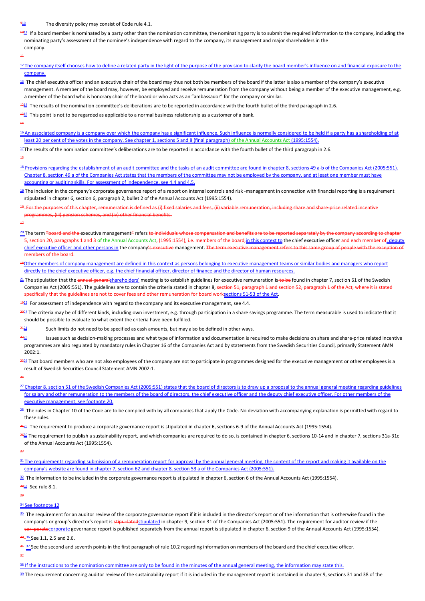#### The diversity policy may consist of Code rule 4.1.

<sup>1011</sup> If a board member is nominated by a party other than the nomination committee, the nominating party is to submit the required information to the company, including the nominating party's assessment of the nominee's independence with regard to the company, its management and major shareholders in the company.

<sup>12</sup>The company itself chooses how to define a related party in the light of the purpose of the provision to clarify the board member's influence on and financial exposure to the

11

| company.                                                                                                                                                                                                                                                                                                                                                                                                                                                                    |
|-----------------------------------------------------------------------------------------------------------------------------------------------------------------------------------------------------------------------------------------------------------------------------------------------------------------------------------------------------------------------------------------------------------------------------------------------------------------------------|
| $\frac{13}{2}$ The chief executive officer and an executive chair of the board may thus not both be members of the board if the latter is also a member of the company's executive<br>management. A member of the board may, however, be employed and receive remuneration from the company without being a member of the executive management, e.g.<br>a member of the board who is honorary chair of the board or who acts as an "ambassador" for the company or similar. |
| $\frac{4214}{2}$ The results of the nomination committee's deliberations are to be reported in accordance with the fourth bullet of the third paragraph in 2.6.                                                                                                                                                                                                                                                                                                             |
| $\frac{4315}{2}$ This point is not to be regarded as applicable to a normal business relationship as a customer of a bank.                                                                                                                                                                                                                                                                                                                                                  |
| $^{44}$                                                                                                                                                                                                                                                                                                                                                                                                                                                                     |
| <sup>16</sup> An associated company is a company over which the company has a significant influence. Such influence is normally considered to be held if a party has a shareholding of at<br>least 20 per cent of the votes in the company. See chapter 1, sections 5 and 8 (final paragraph) of the Annual Accounts Act (1995:1554).                                                                                                                                       |
| $\frac{17}{10}$ The results of the nomination committee's deliberations are to be reported in accordance with the fourth bullet of the third paragraph in 2.6.                                                                                                                                                                                                                                                                                                              |

15

- <sup>18</sup> Provisions regarding the establishment of an audit committee and the tasks of an audit committee are found in chapter 8, sections 49 a-b of the Companies Act (2005:551). Chapter 8, section 49 a of the Companies Act states that the members of the committee may not be employed by the company, and at least one member must have accounting or auditing skills. For assessment of independence, see 4.4 and 4.5.
- <sup>19</sup> The inclusion in the company's corporate governance report of a report on internal controls and risk -management in connection with financial reporting is a requirement stipulated in chapter 6, section 6, paragraph 2, bullet 2 of the Annual Accounts Act (1995:1554).
- 16 For the purposes of this chapter, remuneration is defined as (i) fixed salaries and fees, (ii) variable remuneration, including share and share-price related incentive mmes, (iii) pension schemes, and (iv) other financial benefits.

17 İ,

- <sup>20</sup> The term <del>"board and the e</del>xecutive management<del>"</del> refers <del>to individuals whose compensation and benefits are to be repor</del> on 20, paragraphs 1 and 3 of the Annual Accounts Act, (1995:1554), i.e. members of the board,in this context to the chief executive officer and each member of, deputy chief executive officer and other persons in the company's executive management. The term executive members of the board.
- <sup>18</sup>Other members of company management are defined in this context as persons belonging to executive management teams or similar bodies and managers who report directly to the chief executive officer, e.g. the chief financial officer, director of finance and the director of human resources.
- <sup>21</sup> The stipulation that the <del>annual general</del>shareholders' meeting is to establish guidelines for executive remuneration is to be found in chapter 7, section 61 of the Swedish Companies Act (2005:551). The guidelines are to contain the criteria stated in chapter 8, section 51, paragraph 1 and section 52, paragraph 1 of the Act, where it is stated pecifically that the guidelines are not to cover fees and other remuneration for board worksections 51-53 of the Act.

 $\frac{4922}{2}$  For assessment of independence with regard to the company and its executive management, see 4.4.

<sup>023</sup> The criteria may be of different kinds, including own investment, e.g. through participation in a share savings programme. The term measurable is used to indicate that it should be possible to evaluate to what extent the criteria have been fulfilled.

Such limits do not need to be specified as cash amounts, but may also be defined in other ways.

- Issues such as decision-making processes and what type of information and documentation is required to make decisions on share and share-price related incentive programmes are also regulated by mandatory rules in Chapter 16 of the Companies Act and by statements from the Swedish Securities Council, primarily Statement AMN 2002:1.
- 236 That board members who are not also employees of the company are not to participate in programmes designed for the executive management or other employees is a result of Swedish Securities Council Statement AMN 2002:1.

24

- 27 Chapter 8, section 51 of the Swedish Companies Act (2005:551) states that the board of directors is to draw up a proposal to the annual general meeting regarding guidelines for salary and other remuneration to the members of the board of directors, the chief executive officer and the deputy chief executive officer. For other members of the executive management, see footnote 20.
- 28 The rules in Chapter 10 of the Code are to be complied with by all companies that apply the Code. No deviation with accompanying explanation is permitted with regard to these rules.
- <sup>2522</sup> The requirement to produce a corporate governance report is stipulated in chapter 6, sections 6-9 of the Annual Accounts Act (1995:1554).
- <sup>2630</sup> The requirement to publish a sustainability report, and which companies are required to do so, is contained in chapter 6, sections 10-14 and in chapter 7, sections 31a-31c of the Annual Accounts Act (1995:1554).

27

31 The requirements regarding submission of a remuneration report for approval by the annual general meeting, the content of the report and making it available on the company's website are found in chapter 7, section 62 and chapter 8, section 53 a of the Companies Act (2005:551).

 $^{32}$  The information to be included in the corporate governance report is stipulated in chapter 6, section 6 of the Annual Accounts Act (1995:1554).

<del><sup>28<u>33</u></del> See rule 8.1.</del></sup>

29

#### 34 See footnote 12

**35** The requirement for an auditor review of the corporate governance report if it is included in the director's report or of the information that is otherwise found in the company's or group's director's report is stipu-latedstipulated in chapter 9, section 31 of the Companies Act (2005:551). The requirement for auditor review if the **or-poratecorporate governance report is published separately from the annual report is stipulated in chapter 6, section 9 of the Annual Accounts Act (1995:1554).** 

30\_36 See 1.1, 2.5 and 2.6.

31 <sup>-37</sup> See the second and seventh points in the first paragraph of rule 10.2 regarding information on members of the board and the chief executive officer.

32

38 If the instructions to the nomination committee are only to be found in the minutes of the annual general meeting, the information may state this.

<sup>38</sup> The requirement concerning auditor review of the sustainability report if it is included in the management report is contained in chapter 9, sections 31 and 38 of the